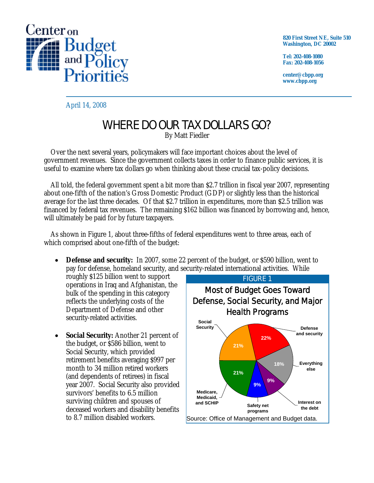

**820 First Street NE, Suite 510 Washington, DC 20002** 

**Tel: 202-408-1080 Fax: 202-408-1056** 

**center@cbpp.org www.cbpp.org** 

April 14, 2008

## WHERE DO OUR TAX DOLLARS GO?

By Matt Fiedler

 Over the next several years, policymakers will face important choices about the level of government revenues. Since the government collects taxes in order to finance public services, it is useful to examine where tax dollars go when thinking about these crucial tax-policy decisions.

 All told, the federal government spent a bit more than \$2.7 trillion in fiscal year 2007, representing about one-fifth of the nation's Gross Domestic Product (GDP) or slightly less than the historical average for the last three decades. Of that \$2.7 trillion in expenditures, more than \$2.5 trillion was financed by federal tax revenues. The remaining \$162 billion was financed by borrowing and, hence, will ultimately be paid for by future taxpayers.

 As shown in Figure 1, about three-fifths of federal expenditures went to three areas, each of which comprised about one-fifth of the budget:

• **Defense and security:** In 2007, some 22 percent of the budget, or \$590 billion, went to pay for defense, homeland security, and security-related international activities. While

roughly \$125 billion went to support operations in Iraq and Afghanistan, the bulk of the spending in this category reflects the underlying costs of the Department of Defense and other security-related activities.

**Social Security:** Another 21 percent of the budget, or \$586 billion, went to Social Security, which provided retirement benefits averaging \$997 per month to 34 million retired workers (and dependents of retirees) in fiscal year 2007. Social Security also provided survivors' benefits to 6.5 million surviving children and spouses of deceased workers and disability benefits to 8.7 million disabled workers.

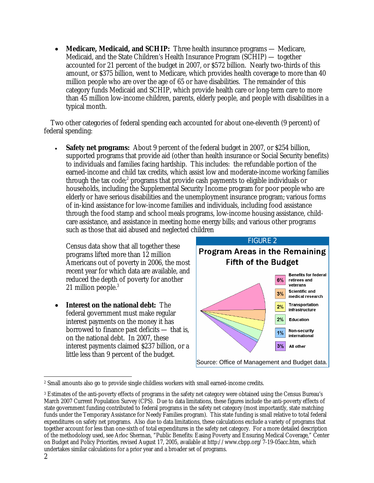• **Medicare, Medicaid, and SCHIP:** Three health insurance programs — Medicare, Medicaid, and the State Children's Health Insurance Program (SCHIP) — together accounted for 21 percent of the budget in 2007, or \$572 billion. Nearly two-thirds of this amount, or \$375 billion, went to Medicare, which provides health coverage to more than 40 million people who are over the age of 65 or have disabilities. The remainder of this category funds Medicaid and SCHIP, which provide health care or long-term care to more than 45 million low-income children, parents, elderly people, and people with disabilities in a typical month.

 Two other categories of federal spending each accounted for about one-eleventh (9 percent) of federal spending:

**Safety net programs:** About 9 percent of the federal budget in 2007, or \$254 billion, supported programs that provide aid (other than health insurance or Social Security benefits) to individuals and families facing hardship. This includes: the refundable portion of the earned-income and child tax credits, which assist low and moderate-income working families through the tax code;<sup>2</sup> programs that provide cash payments to eligible individuals or households, including the Supplemental Security Income program for poor people who are elderly or have serious disabilities and the unemployment insurance program; various forms of in-kind assistance for low-income families and individuals, including food assistance through the food stamp and school meals programs, low-income housing assistance, childcare assistance, and assistance in meeting home energy bills; and various other programs such as those that aid abused and neglected children

Census data show that all together these programs lifted more than 12 million Americans out of poverty in 2006, the most recent year for which data are available, and reduced the depth of poverty for another 21 million people.<sup>3</sup>

• **Interest on the national debt:** The federal government must make regular interest payments on the money it has borrowed to finance past deficits — that is, on the national debt. In 2007, these interest payments claimed \$237 billion, or a little less than 9 percent of the budget.



 $\overline{a}$ 2 Small amounts also go to provide single childless workers with small earned-income credits.

<sup>3</sup> Estimates of the anti-poverty effects of programs in the safety net category were obtained using the Census Bureau's March 2007 Current Population Survey (CPS). Due to data limitations, these figures include the anti-poverty effects of state government funding contributed to federal programs in the safety net category (most importantly, state matching funds under the Temporary Assistance for Needy Families program). This state funding is small relative to total federal expenditures on safety net programs. Also due to data limitations, these calculations exclude a variety of programs that together account for less than one-sixth of total expenditures in the safety net category. For a more detailed description of the methodology used, see Arloc Sherman, "Public Benefits: Easing Poverty and Ensuring Medical Coverage," Center on Budget and Policy Priorities, revised August 17, 2005, available at http://www.cbpp.org/7-19-05acc.htm, which undertakes similar calculations for a prior year and a broader set of programs.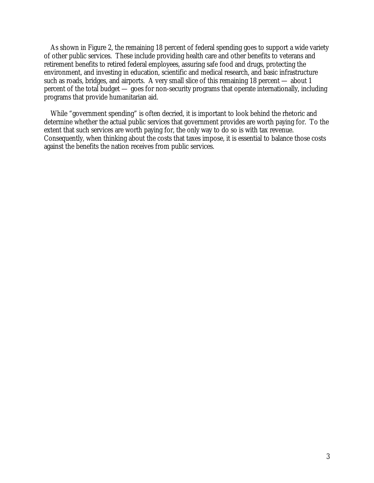As shown in Figure 2, the remaining 18 percent of federal spending goes to support a wide variety of other public services. These include providing health care and other benefits to veterans and retirement benefits to retired federal employees, assuring safe food and drugs, protecting the environment, and investing in education, scientific and medical research, and basic infrastructure such as roads, bridges, and airports. A very small slice of this remaining 18 percent — about 1 percent of the total budget — goes for non-security programs that operate internationally, including programs that provide humanitarian aid.

 While "government spending" is often decried, it is important to look behind the rhetoric and determine whether the actual public services that government provides are worth paying for. To the extent that such services are worth paying for, the only way to do so is with tax revenue. Consequently, when thinking about the costs that taxes impose, it is essential to balance those costs against the benefits the nation receives from public services.